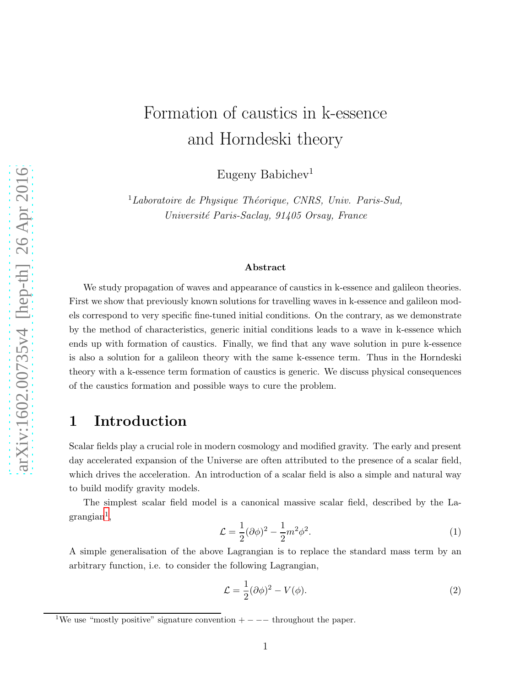# Formation of caustics in k-essence and Horndeski theory

Eugeny Babichev<sup>1</sup>

 ${}^{1}$ Laboratoire de Physique Théorique, CNRS, Univ. Paris-Sud, Université Paris-Saclay, 91405 Orsay, France

#### Abstract

We study propagation of waves and appearance of caustics in k-essence and galileon theories. First we show that previously known solutions for travelling waves in k-essence and galileon models correspond to very specific fine-tuned initial conditions. On the contrary, as we demonstrate by the method of characteristics, generic initial conditions leads to a wave in k-essence which ends up with formation of caustics. Finally, we find that any wave solution in pure k-essence is also a solution for a galileon theory with the same k-essence term. Thus in the Horndeski theory with a k-essence term formation of caustics is generic. We discuss physical consequences of the caustics formation and possible ways to cure the problem.

## 1 Introduction

Scalar fields play a crucial role in modern cosmology and modified gravity. The early and present day accelerated expansion of the Universe are often attributed to the presence of a scalar field, which drives the acceleration. An introduction of a scalar field is also a simple and natural way to build modify gravity models.

The simplest scalar field model is a canonical massive scalar field, described by the La- $\mathrm{grangian}^1,$  $\mathrm{grangian}^1,$  $\mathrm{grangian}^1,$ 

<span id="page-0-1"></span>
$$
\mathcal{L} = \frac{1}{2} (\partial \phi)^2 - \frac{1}{2} m^2 \phi^2.
$$
 (1)

A simple generalisation of the above Lagrangian is to replace the standard mass term by an arbitrary function, i.e. to consider the following Lagrangian,

<span id="page-0-2"></span>
$$
\mathcal{L} = \frac{1}{2} (\partial \phi)^2 - V(\phi). \tag{2}
$$

<span id="page-0-0"></span> $1$ We use "mostly positive" signature convention  $+ - - -$  throughout the paper.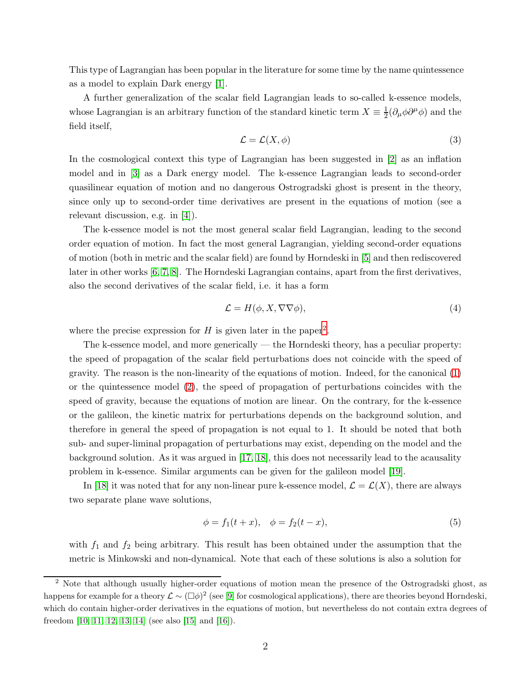This type of Lagrangian has been popular in the literature for some time by the name quintessence as a model to explain Dark energy [\[1\]](#page-15-0).

A further generalization of the scalar field Lagrangian leads to so-called k-essence models, whose Lagrangian is an arbitrary function of the standard kinetic term  $X \equiv \frac{1}{2}$  $\frac{1}{2}(\partial_{\mu}\phi\partial^{\mu}\phi)$  and the field itself,

<span id="page-1-2"></span>
$$
\mathcal{L} = \mathcal{L}(X, \phi) \tag{3}
$$

In the cosmological context this type of Lagrangian has been suggested in [\[2\]](#page-15-1) as an inflation model and in [\[3\]](#page-15-2) as a Dark energy model. The k-essence Lagrangian leads to second-order quasilinear equation of motion and no dangerous Ostrogradski ghost is present in the theory, since only up to second-order time derivatives are present in the equations of motion (see a relevant discussion, e.g. in [\[4\]](#page-15-3)).

The k-essence model is not the most general scalar field Lagrangian, leading to the second order equation of motion. In fact the most general Lagrangian, yielding second-order equations of motion (both in metric and the scalar field) are found by Horndeski in [\[5\]](#page-15-4) and then rediscovered later in other works [\[6,](#page-15-5) [7,](#page-15-6) [8\]](#page-15-7). The Horndeski Lagrangian contains, apart from the first derivatives, also the second derivatives of the scalar field, i.e. it has a form

$$
\mathcal{L} = H(\phi, X, \nabla \nabla \phi),\tag{4}
$$

where the precise expression for  $H$  is given later in the paper<sup>[2](#page-1-0)</sup>.

The k-essence model, and more generically — the Horndeski theory, has a peculiar property: the speed of propagation of the scalar field perturbations does not coincide with the speed of gravity. The reason is the non-linearity of the equations of motion. Indeed, for the canonical [\(1\)](#page-0-1) or the quintessence model [\(2\)](#page-0-2), the speed of propagation of perturbations coincides with the speed of gravity, because the equations of motion are linear. On the contrary, for the k-essence or the galileon, the kinetic matrix for perturbations depends on the background solution, and therefore in general the speed of propagation is not equal to 1. It should be noted that both sub- and super-liminal propagation of perturbations may exist, depending on the model and the background solution. As it was argued in [\[17,](#page-16-0) [18\]](#page-16-1), this does not necessarily lead to the acausality problem in k-essence. Similar arguments can be given for the galileon model [\[19\]](#page-16-2).

In [\[18\]](#page-16-1) it was noted that for any non-linear pure k-essence model,  $\mathcal{L} = \mathcal{L}(X)$ , there are always two separate plane wave solutions,

<span id="page-1-1"></span>
$$
\phi = f_1(t+x), \quad \phi = f_2(t-x), \tag{5}
$$

with  $f_1$  and  $f_2$  being arbitrary. This result has been obtained under the assumption that the metric is Minkowski and non-dynamical. Note that each of these solutions is also a solution for

<span id="page-1-0"></span><sup>2</sup> Note that although usually higher-order equations of motion mean the presence of the Ostrogradski ghost, as happens for example for a theory  $\mathcal{L} \sim (\Box \phi)^2$  (see [\[9\]](#page-15-8) for cosmological applications), there are theories beyond Horndeski, which do contain higher-order derivatives in the equations of motion, but nevertheless do not contain extra degrees of freedom [\[10,](#page-15-9) [11,](#page-15-10) [12,](#page-15-11) [13,](#page-15-12) [14\]](#page-15-13) (see also [\[15\]](#page-15-14) and [\[16\]](#page-15-15)).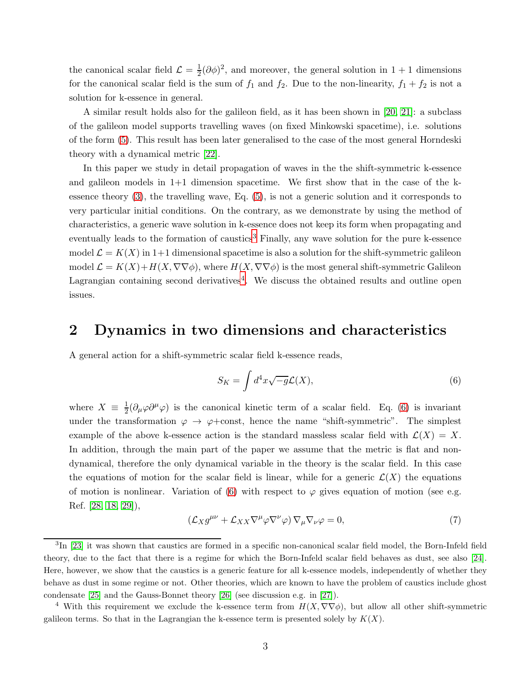the canonical scalar field  $\mathcal{L} = \frac{1}{2}$  $\frac{1}{2}(\partial \phi)^2$ , and moreover, the general solution in 1 + 1 dimensions for the canonical scalar field is the sum of  $f_1$  and  $f_2$ . Due to the non-linearity,  $f_1 + f_2$  is not a solution for k-essence in general.

A similar result holds also for the galileon field, as it has been shown in [\[20,](#page-16-3) [21\]](#page-16-4): a subclass of the galileon model supports travelling waves (on fixed Minkowski spacetime), i.e. solutions of the form [\(5\)](#page-1-1). This result has been later generalised to the case of the most general Horndeski theory with a dynamical metric [\[22\]](#page-16-5).

In this paper we study in detail propagation of waves in the the shift-symmetric k-essence and galileon models in  $1+1$  dimension spacetime. We first show that in the case of the kessence theory [\(3\)](#page-1-2), the travelling wave, Eq. [\(5\)](#page-1-1), is not a generic solution and it corresponds to very particular initial conditions. On the contrary, as we demonstrate by using the method of characteristics, a generic wave solution in k-essence does not keep its form when propagating and eventually leads to the formation of caustics<sup>[3](#page-2-0)</sup> Finally, any wave solution for the pure k-essence model  $\mathcal{L} = K(X)$  in 1+1 dimensional spacetime is also a solution for the shift-symmetric galileon model  $\mathcal{L} = K(X) + H(X, \nabla\nabla\phi)$ , where  $H(X, \nabla\nabla\phi)$  is the most general shift-symmetric Galileon Lagrangian containing second derivatives<sup>[4](#page-2-1)</sup>. We discuss the obtained results and outline open issues.

## 2 Dynamics in two dimensions and characteristics

A general action for a shift-symmetric scalar field k-essence reads,

<span id="page-2-2"></span>
$$
S_K = \int d^4x \sqrt{-g} \mathcal{L}(X),\tag{6}
$$

where  $X \equiv \frac{1}{2}$  $\frac{1}{2}(\partial_{\mu}\varphi\partial^{\mu}\varphi)$  is the canonical kinetic term of a scalar field. Eq. [\(6\)](#page-2-2) is invariant under the transformation  $\varphi \to \varphi + const$ , hence the name "shift-symmetric". The simplest example of the above k-essence action is the standard massless scalar field with  $\mathcal{L}(X) = X$ . In addition, through the main part of the paper we assume that the metric is flat and nondynamical, therefore the only dynamical variable in the theory is the scalar field. In this case the equations of motion for the scalar field is linear, while for a generic  $\mathcal{L}(X)$  the equations of motion is nonlinear. Variation of [\(6\)](#page-2-2) with respect to  $\varphi$  gives equation of motion (see e.g. Ref. [\[28,](#page-16-6) [18,](#page-16-1) [29\]](#page-16-7)),

<span id="page-2-3"></span>
$$
(\mathcal{L}_X g^{\mu\nu} + \mathcal{L}_{XX} \nabla^{\mu} \varphi \nabla^{\nu} \varphi) \nabla_{\mu} \nabla_{\nu} \varphi = 0, \tag{7}
$$

<span id="page-2-0"></span><sup>&</sup>lt;sup>3</sup>In [\[23\]](#page-16-8) it was shown that caustics are formed in a specific non-canonical scalar field model, the Born-Infeld field theory, due to the fact that there is a regime for which the Born-Infeld scalar field behaves as dust, see also [\[24\]](#page-16-9). Here, however, we show that the caustics is a generic feature for all k-essence models, independently of whether they behave as dust in some regime or not. Other theories, which are known to have the problem of caustics include ghost condensate [\[25\]](#page-16-10) and the Gauss-Bonnet theory [\[26\]](#page-16-11) (see discussion e.g. in [\[27\]](#page-16-12)).

<span id="page-2-1"></span><sup>&</sup>lt;sup>4</sup> With this requirement we exclude the k-essence term from  $H(X, \nabla \nabla \phi)$ , but allow all other shift-symmetric galileon terms. So that in the Lagrangian the k-essence term is presented solely by  $K(X)$ .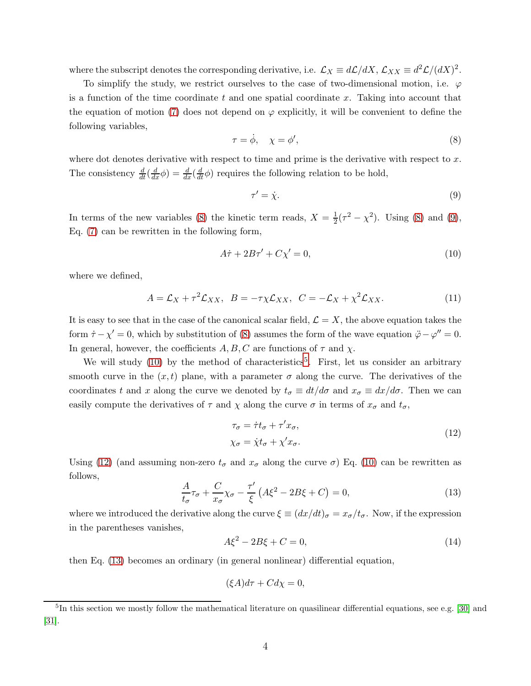where the subscript denotes the corresponding derivative, i.e.  $\mathcal{L}_X \equiv d\mathcal{L}/dX$ ,  $\mathcal{L}_{XX} \equiv d^2\mathcal{L}/(dX)^2$ .

To simplify the study, we restrict ourselves to the case of two-dimensional motion, i.e.  $\varphi$ is a function of the time coordinate t and one spatial coordinate x. Taking into account that the equation of motion [\(7\)](#page-2-3) does not depend on  $\varphi$  explicitly, it will be convenient to define the following variables,

<span id="page-3-0"></span>
$$
\tau = \dot{\phi}, \quad \chi = \phi', \tag{8}
$$

where dot denotes derivative with respect to time and prime is the derivative with respect to  $x$ . The consistency  $\frac{d}{dt}(\frac{d}{dx}\phi) = \frac{d}{dx}(\frac{d}{dt}\phi)$  requires the following relation to be hold,

<span id="page-3-1"></span>
$$
\tau' = \dot{\chi}.\tag{9}
$$

In terms of the new variables [\(8\)](#page-3-0) the kinetic term reads,  $X = \frac{1}{2}$  $\frac{1}{2}(\tau^2 - \chi^2)$ . Using [\(8\)](#page-3-0) and [\(9\)](#page-3-1), Eq. [\(7\)](#page-2-3) can be rewritten in the following form,

<span id="page-3-2"></span>
$$
A\dot{\tau} + 2B\tau' + C\chi' = 0,\tag{10}
$$

where we defined,

<span id="page-3-7"></span>
$$
A = \mathcal{L}_X + \tau^2 \mathcal{L}_{XX}, \quad B = -\tau \chi \mathcal{L}_{XX}, \quad C = -\mathcal{L}_X + \chi^2 \mathcal{L}_{XX}.
$$
 (11)

It is easy to see that in the case of the canonical scalar field,  $\mathcal{L} = X$ , the above equation takes the form  $\dot{\tau} - \chi' = 0$ , which by substitution of [\(8\)](#page-3-0) assumes the form of the wave equation  $\ddot{\varphi} - \varphi'' = 0$ . In general, however, the coefficients  $A, B, C$  are functions of  $\tau$  and  $\chi$ .

We will study  $(10)$  by the method of characteristics<sup>[5](#page-3-3)</sup>. First, let us consider an arbitrary smooth curve in the  $(x, t)$  plane, with a parameter  $\sigma$  along the curve. The derivatives of the coordinates t and x along the curve we denoted by  $t_{\sigma} \equiv dt/d\sigma$  and  $x_{\sigma} \equiv dx/d\sigma$ . Then we can easily compute the derivatives of  $\tau$  and  $\chi$  along the curve  $\sigma$  in terms of  $x_{\sigma}$  and  $t_{\sigma}$ ,

$$
\tau_{\sigma} = \dot{\tau}t_{\sigma} + \tau'x_{\sigma}, \chi_{\sigma} = \dot{\chi}t_{\sigma} + \chi'x_{\sigma}.
$$
\n(12)

<span id="page-3-4"></span>Using [\(12\)](#page-3-4) (and assuming non-zero  $t_{\sigma}$  and  $x_{\sigma}$  along the curve  $\sigma$ ) Eq. [\(10\)](#page-3-2) can be rewritten as follows,

<span id="page-3-5"></span>
$$
\frac{A}{t_{\sigma}}\tau_{\sigma} + \frac{C}{x_{\sigma}}\chi_{\sigma} - \frac{\tau'}{\xi} \left( A\xi^2 - 2B\xi + C \right) = 0, \tag{13}
$$

where we introduced the derivative along the curve  $\xi \equiv (dx/dt)_{\sigma} = x_{\sigma}/t_{\sigma}$ . Now, if the expression in the parentheses vanishes,

<span id="page-3-6"></span>
$$
A\xi^2 - 2B\xi + C = 0,\t(14)
$$

then Eq. [\(13\)](#page-3-5) becomes an ordinary (in general nonlinear) differential equation,

$$
(\xi A)d\tau + Cd\chi = 0,
$$

<span id="page-3-3"></span><sup>&</sup>lt;sup>5</sup>In this section we mostly follow the mathematical literature on quasilinear differential equations, see e.g. [\[30\]](#page-16-13) and [\[31\]](#page-16-14).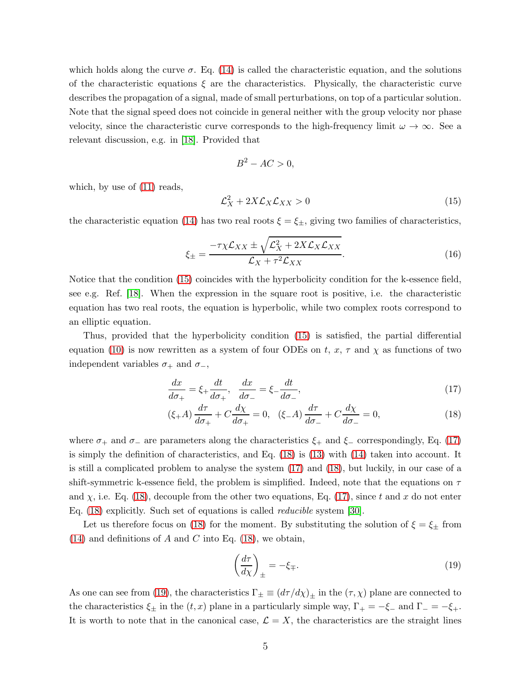which holds along the curve  $\sigma$ . Eq. [\(14\)](#page-3-6) is called the characteristic equation, and the solutions of the characteristic equations  $\xi$  are the characteristics. Physically, the characteristic curve describes the propagation of a signal, made of small perturbations, on top of a particular solution. Note that the signal speed does not coincide in general neither with the group velocity nor phase velocity, since the characteristic curve corresponds to the high-frequency limit  $\omega \to \infty$ . See a relevant discussion, e.g. in [\[18\]](#page-16-1). Provided that

$$
B^2 - AC > 0,
$$

which, by use of  $(11)$  reads,

<span id="page-4-0"></span>
$$
\mathcal{L}_X^2 + 2X\mathcal{L}_X\mathcal{L}_{XX} > 0\tag{15}
$$

the characteristic equation [\(14\)](#page-3-6) has two real roots  $\xi = \xi_{\pm}$ , giving two families of characteristics,

<span id="page-4-3"></span>
$$
\xi_{\pm} = \frac{-\tau \chi \mathcal{L}_{XX} \pm \sqrt{\mathcal{L}_X^2 + 2X \mathcal{L}_X \mathcal{L}_{XX}}}{\mathcal{L}_X + \tau^2 \mathcal{L}_{XX}}.
$$
\n(16)

Notice that the condition [\(15\)](#page-4-0) coincides with the hyperbolicity condition for the k-essence field, see e.g. Ref. [\[18\]](#page-16-1). When the expression in the square root is positive, i.e. the characteristic equation has two real roots, the equation is hyperbolic, while two complex roots correspond to an elliptic equation.

Thus, provided that the hyperbolicity condition [\(15\)](#page-4-0) is satisfied, the partial differential equation [\(10\)](#page-3-2) is now rewritten as a system of four ODEs on t,  $x, \tau$  and  $\chi$  as functions of two independent variables  $\sigma_+$  and  $\sigma_-,$ 

<span id="page-4-1"></span>
$$
\frac{dx}{d\sigma_+} = \xi_+ \frac{dt}{d\sigma_+}, \quad \frac{dx}{d\sigma_-} = \xi_- \frac{dt}{d\sigma_-},\tag{17}
$$

$$
(\xi + A) \frac{d\tau}{d\sigma_+} + C \frac{d\chi}{d\sigma_+} = 0, \quad (\xi - A) \frac{d\tau}{d\sigma_-} + C \frac{d\chi}{d\sigma_-} = 0,\tag{18}
$$

where  $\sigma_+$  and  $\sigma_-$  are parameters along the characteristics  $\xi_+$  and  $\xi_-$  correspondingly, Eq. [\(17\)](#page-4-1) is simply the definition of characteristics, and Eq. [\(18\)](#page-4-1) is [\(13\)](#page-3-5) with [\(14\)](#page-3-6) taken into account. It is still a complicated problem to analyse the system [\(17\)](#page-4-1) and [\(18\)](#page-4-1), but luckily, in our case of a shift-symmetric k-essence field, the problem is simplified. Indeed, note that the equations on  $\tau$ and  $\chi$ , i.e. Eq. [\(18\)](#page-4-1), decouple from the other two equations, Eq. [\(17\)](#page-4-1), since t and x do not enter Eq. [\(18\)](#page-4-1) explicitly. Such set of equations is called reducible system [\[30\]](#page-16-13).

Let us therefore focus on [\(18\)](#page-4-1) for the moment. By substituting the solution of  $\xi = \xi_{\pm}$  from  $(14)$  and definitions of A and C into Eq.  $(18)$ , we obtain,

<span id="page-4-2"></span>
$$
\left(\frac{d\tau}{d\chi}\right)_{\pm} = -\xi_{\mp}.\tag{19}
$$

As one can see from [\(19\)](#page-4-2), the characteristics  $\Gamma_{\pm} \equiv (d\tau/d\chi)_{\pm}$  in the  $(\tau, \chi)$  plane are connected to the characteristics  $\xi_{\pm}$  in the  $(t, x)$  plane in a particularly simple way,  $\Gamma_{+} = -\xi_{-}$  and  $\Gamma_{-} = -\xi_{+}$ . It is worth to note that in the canonical case,  $\mathcal{L} = X$ , the characteristics are the straight lines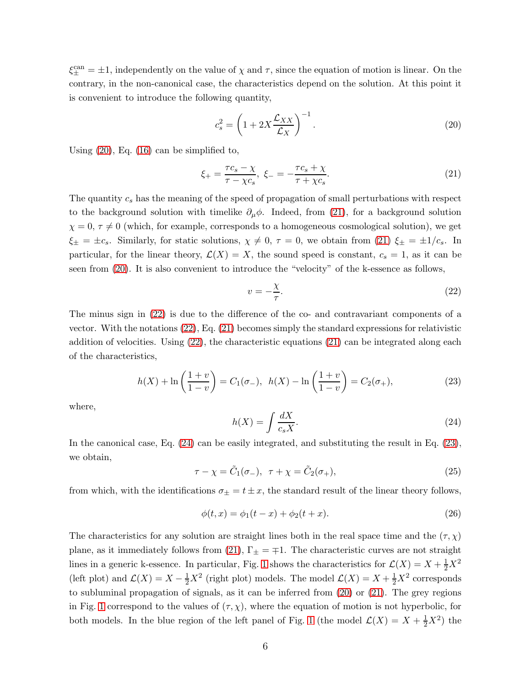$\xi_{\pm}^{\text{can}} = \pm 1$ , independently on the value of  $\chi$  and  $\tau$ , since the equation of motion is linear. On the contrary, in the non-canonical case, the characteristics depend on the solution. At this point it is convenient to introduce the following quantity,

<span id="page-5-0"></span>
$$
c_s^2 = \left(1 + 2X\frac{\mathcal{L}_{XX}}{\mathcal{L}_X}\right)^{-1}.\tag{20}
$$

Using [\(20\)](#page-5-0), Eq. [\(16\)](#page-4-3) can be simplified to,

<span id="page-5-1"></span>
$$
\xi_{+} = \frac{\tau c_s - \chi}{\tau - \chi c_s}, \ \xi_{-} = -\frac{\tau c_s + \chi}{\tau + \chi c_s}.
$$
 (21)

The quantity  $c_s$  has the meaning of the speed of propagation of small perturbations with respect to the background solution with timelike  $\partial_\mu \phi$ . Indeed, from [\(21\)](#page-5-1), for a background solution  $\chi = 0, \tau \neq 0$  (which, for example, corresponds to a homogeneous cosmological solution), we get  $\xi_{\pm} = \pm c_s$ . Similarly, for static solutions,  $\chi \neq 0$ ,  $\tau = 0$ , we obtain from [\(21\)](#page-5-1)  $\xi_{\pm} = \pm 1/c_s$ . In particular, for the linear theory,  $\mathcal{L}(X) = X$ , the sound speed is constant,  $c_s = 1$ , as it can be seen from [\(20\)](#page-5-0). It is also convenient to introduce the "velocity" of the k-essence as follows,

<span id="page-5-2"></span>
$$
v = -\frac{\chi}{\tau}.\tag{22}
$$

The minus sign in [\(22\)](#page-5-2) is due to the difference of the co- and contravariant components of a vector. With the notations [\(22\)](#page-5-2), Eq. [\(21\)](#page-5-1) becomes simply the standard expressions for relativistic addition of velocities. Using [\(22\)](#page-5-2), the characteristic equations [\(21\)](#page-5-1) can be integrated along each of the characteristics,

<span id="page-5-4"></span>
$$
h(X) + \ln\left(\frac{1+v}{1-v}\right) = C_1(\sigma_-), \ \ h(X) - \ln\left(\frac{1+v}{1-v}\right) = C_2(\sigma_+),\tag{23}
$$

where,

<span id="page-5-3"></span>
$$
h(X) = \int \frac{dX}{c_s X}.\tag{24}
$$

In the canonical case, Eq. [\(24\)](#page-5-3) can be easily integrated, and substituting the result in Eq. [\(23\)](#page-5-4), we obtain,

$$
\tau - \chi = \tilde{C}_1(\sigma_-), \quad \tau + \chi = \tilde{C}_2(\sigma_+), \tag{25}
$$

from which, with the identifications  $\sigma_{\pm} = t \pm x$ , the standard result of the linear theory follows,

$$
\phi(t, x) = \phi_1(t - x) + \phi_2(t + x).
$$
\n(26)

The characteristics for any solution are straight lines both in the real space time and the  $(\tau, \chi)$ plane, as it immediately follows from [\(21\)](#page-5-1),  $\Gamma_{\pm} = \mp 1$ . The characteristic curves are not straight lines in a generic k-essence. In particular, Fig. [1](#page-6-0) shows the characteristics for  $\mathcal{L}(X) = X + \frac{1}{2}X^2$ (left plot) and  $\mathcal{L}(X) = X - \frac{1}{2}X^2$  (right plot) models. The model  $\mathcal{L}(X) = X + \frac{1}{2}X^2$  corresponds to subluminal propagation of signals, as it can be inferred from [\(20\)](#page-5-0) or [\(21\)](#page-5-1). The grey regions in Fig. [1](#page-6-0) correspond to the values of  $(\tau, \chi)$ , where the equation of motion is not hyperbolic, for both models. In the blue region of the left panel of Fig. [1](#page-6-0) (the model  $\mathcal{L}(X) = X + \frac{1}{2}X^2$ ) the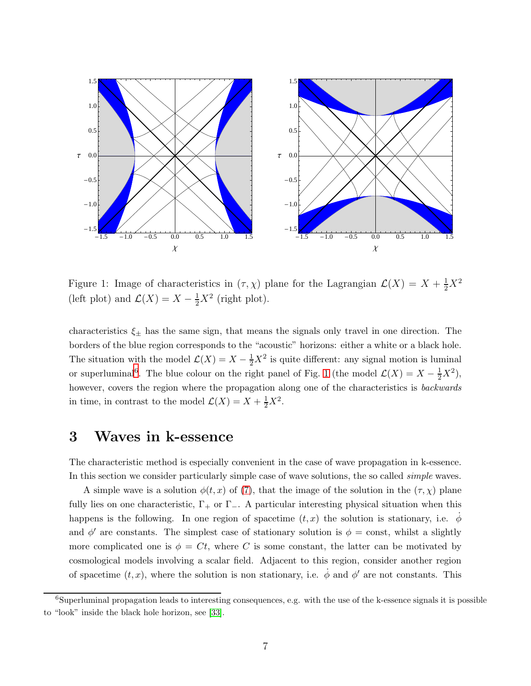

<span id="page-6-0"></span>Figure 1: Image of characteristics in  $(\tau, \chi)$  plane for the Lagrangian  $\mathcal{L}(X) = X + \frac{1}{2}X^2$ (left plot) and  $\mathcal{L}(X) = X - \frac{1}{2}X^2$  (right plot).

characteristics  $\xi_{\pm}$  has the same sign, that means the signals only travel in one direction. The borders of the blue region corresponds to the "acoustic" horizons: either a white or a black hole. The situation with the model  $\mathcal{L}(X) = X - \frac{1}{2}X^2$  is quite different: any signal motion is luminal or superluminal<sup>[6](#page-6-1)</sup>. The blue colour on the right panel of Fig. [1](#page-6-0) (the model  $\mathcal{L}(X) = X - \frac{1}{2}X^2$ ), however, covers the region where the propagation along one of the characteristics is *backwards* in time, in contrast to the model  $\mathcal{L}(X) = X + \frac{1}{2}X^2$ .

## <span id="page-6-2"></span>3 Waves in k-essence

The characteristic method is especially convenient in the case of wave propagation in k-essence. In this section we consider particularly simple case of wave solutions, the so called *simple* waves.

A simple wave is a solution  $\phi(t, x)$  of [\(7\)](#page-2-3), that the image of the solution in the  $(\tau, \chi)$  plane fully lies on one characteristic,  $\Gamma_+$  or  $\Gamma_-$ . A particular interesting physical situation when this happens is the following. In one region of spacetime  $(t, x)$  the solution is stationary, i.e.  $\dot{\phi}$ and  $\phi'$  are constants. The simplest case of stationary solution is  $\phi = \text{const}$ , whilst a slightly more complicated one is  $\phi = Ct$ , where C is some constant, the latter can be motivated by cosmological models involving a scalar field. Adjacent to this region, consider another region of spacetime  $(t, x)$ , where the solution is non stationary, i.e.  $\dot{\phi}$  and  $\phi'$  are not constants. This

<span id="page-6-1"></span> $6$ Superluminal propagation leads to interesting consequences, e.g. with the use of the k-essence signals it is possible to "look" inside the black hole horizon, see [\[33\]](#page-16-15).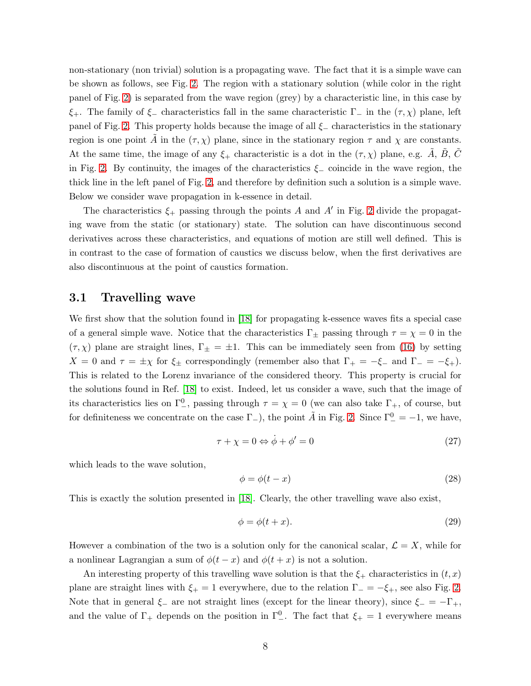non-stationary (non trivial) solution is a propagating wave. The fact that it is a simple wave can be shown as follows, see Fig. [2.](#page-8-0) The region with a stationary solution (while color in the right panel of Fig. [2\)](#page-8-0) is separated from the wave region (grey) by a characteristic line, in this case by  $\xi_{+}$ . The family of  $\xi_{-}$  characteristics fall in the same characteristic  $\Gamma_{-}$  in the  $(\tau, \chi)$  plane, left panel of Fig. [2.](#page-8-0) This property holds because the image of all  $\xi$ <sub>-</sub> characteristics in the stationary region is one point A in the  $(\tau, \chi)$  plane, since in the stationary region  $\tau$  and  $\chi$  are constants. At the same time, the image of any  $\xi_{+}$  characteristic is a dot in the  $(\tau, \chi)$  plane, e.g. A, B, C in Fig. [2.](#page-8-0) By continuity, the images of the characteristics  $\xi$  coincide in the wave region, the thick line in the left panel of Fig. [2,](#page-8-0) and therefore by definition such a solution is a simple wave. Below we consider wave propagation in k-essence in detail.

The characteristics  $\xi_{+}$  passing through the points A and A' in Fig. [2](#page-8-0) divide the propagating wave from the static (or stationary) state. The solution can have discontinuous second derivatives across these characteristics, and equations of motion are still well defined. This is in contrast to the case of formation of caustics we discuss below, when the first derivatives are also discontinuous at the point of caustics formation.

#### <span id="page-7-1"></span>3.1 Travelling wave

We first show that the solution found in [\[18\]](#page-16-1) for propagating k-essence waves fits a special case of a general simple wave. Notice that the characteristics  $\Gamma_{\pm}$  passing through  $\tau = \chi = 0$  in the  $(\tau, \chi)$  plane are straight lines,  $\Gamma_{\pm} = \pm 1$ . This can be immediately seen from [\(16\)](#page-4-3) by setting  $X = 0$  and  $\tau = \pm \chi$  for  $\xi_{\pm}$  correspondingly (remember also that  $\Gamma_{+} = -\xi_{-}$  and  $\Gamma_{-} = -\xi_{+}$ ). This is related to the Lorenz invariance of the considered theory. This property is crucial for the solutions found in Ref. [\[18\]](#page-16-1) to exist. Indeed, let us consider a wave, such that the image of its characteristics lies on  $\Gamma^0_-,$  passing through  $\tau = \chi = 0$  (we can also take  $\Gamma_+,$  of course, but for definiteness we concentrate on the case  $\Gamma_{-}$ ), the point  $\tilde{A}$  in Fig. [2.](#page-8-0) Since  $\Gamma_{-}^{0} = -1$ , we have,

$$
\tau + \chi = 0 \Leftrightarrow \dot{\phi} + \phi' = 0 \tag{27}
$$

which leads to the wave solution,

<span id="page-7-0"></span>
$$
\phi = \phi(t - x) \tag{28}
$$

This is exactly the solution presented in [\[18\]](#page-16-1). Clearly, the other travelling wave also exist,

<span id="page-7-2"></span>
$$
\phi = \phi(t+x). \tag{29}
$$

However a combination of the two is a solution only for the canonical scalar,  $\mathcal{L} = X$ , while for a nonlinear Lagrangian a sum of  $\phi(t-x)$  and  $\phi(t+x)$  is not a solution.

An interesting property of this travelling wave solution is that the  $\xi_{+}$  characteristics in  $(t, x)$ plane are straight lines with  $\xi_{+} = 1$  everywhere, due to the relation  $\Gamma_{-} = -\xi_{+}$ , see also Fig. [2.](#page-8-0) Note that in general  $\xi$  are not straight lines (except for the linear theory), since  $\xi = -\Gamma_+$ , and the value of  $\Gamma_+$  depends on the position in  $\Gamma_-^0$ . The fact that  $\xi_+ = 1$  everywhere means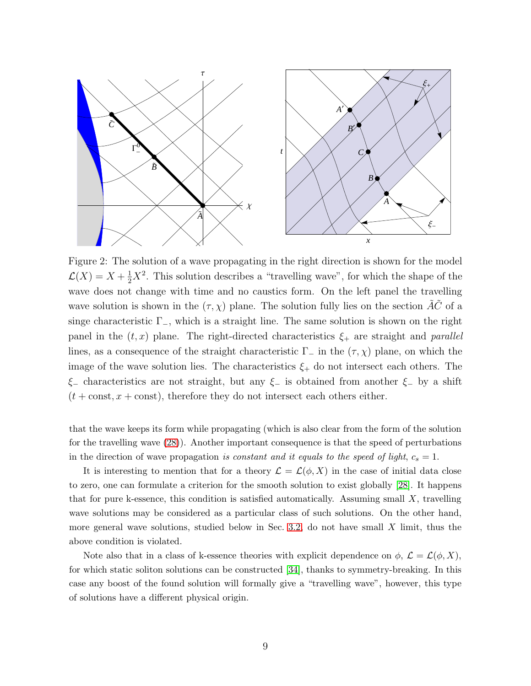

<span id="page-8-0"></span>Figure 2: The solution of a wave propagating in the right direction is shown for the model  $\mathcal{L}(X) = X + \frac{1}{2}X^2$ . This solution describes a "travelling wave", for which the shape of the wave does not change with time and no caustics form. On the left panel the travelling wave solution is shown in the  $(\tau, \chi)$  plane. The solution fully lies on the section  $\tilde{A}\tilde{C}$  of a singe characteristic  $\Gamma_-,$  which is a straight line. The same solution is shown on the right panel in the  $(t, x)$  plane. The right-directed characteristics  $\xi_{+}$  are straight and parallel lines, as a consequence of the straight characteristic  $\Gamma_-\$  in the  $(\tau, \chi)$  plane, on which the image of the wave solution lies. The characteristics  $\xi_{+}$  do not intersect each others. The  $\xi$ − characteristics are not straight, but any  $\xi$ − is obtained from another  $\xi$ − by a shift  $(t + const, x + const)$ , therefore they do not intersect each others either.

that the wave keeps its form while propagating (which is also clear from the form of the solution for the travelling wave [\(28\)](#page-7-0)). Another important consequence is that the speed of perturbations in the direction of wave propagation is constant and it equals to the speed of light,  $c_s = 1$ .

It is interesting to mention that for a theory  $\mathcal{L} = \mathcal{L}(\phi, X)$  in the case of initial data close to zero, one can formulate a criterion for the smooth solution to exist globally [\[28\]](#page-16-6). It happens that for pure k-essence, this condition is satisfied automatically. Assuming small  $X$ , travelling wave solutions may be considered as a particular class of such solutions. On the other hand, more general wave solutions, studied below in Sec. [3.2,](#page-9-0) do not have small  $X$  limit, thus the above condition is violated.

Note also that in a class of k-essence theories with explicit dependence on  $\phi$ ,  $\mathcal{L} = \mathcal{L}(\phi, X)$ , for which static soliton solutions can be constructed [\[34\]](#page-16-16), thanks to symmetry-breaking. In this case any boost of the found solution will formally give a "travelling wave", however, this type of solutions have a different physical origin.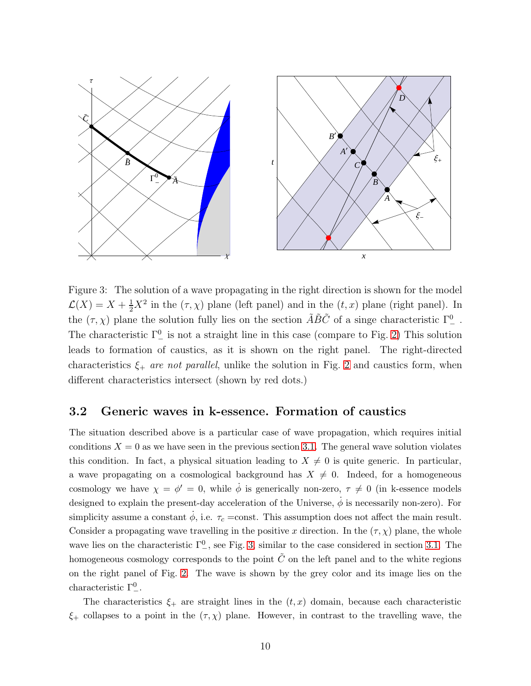

<span id="page-9-1"></span>Figure 3: The solution of a wave propagating in the right direction is shown for the model  $\mathcal{L}(X) = X + \frac{1}{2}X^2$  in the  $(\tau, \chi)$  plane (left panel) and in the  $(t, x)$  plane (right panel). In the  $(\tau, \chi)$  plane the solution fully lies on the section  $\tilde{A}\tilde{B}\tilde{C}$  of a singe characteristic  $\Gamma^0_-$ . The characteristic  $\Gamma^0_-$  is not a straight line in this case (compare to Fig. [2\)](#page-8-0) This solution leads to formation of caustics, as it is shown on the right panel. The right-directed characteristics  $\xi_+$  are not parallel, unlike the solution in Fig. [2](#page-8-0) and caustics form, when different characteristics intersect (shown by red dots.)

#### <span id="page-9-0"></span>3.2 Generic waves in k-essence. Formation of caustics

The situation described above is a particular case of wave propagation, which requires initial conditions  $X = 0$  as we have seen in the previous section [3.1.](#page-7-1) The general wave solution violates this condition. In fact, a physical situation leading to  $X \neq 0$  is quite generic. In particular, a wave propagating on a cosmological background has  $X \neq 0$ . Indeed, for a homogeneous cosmology we have  $\chi = \phi' = 0$ , while  $\dot{\phi}$  is generically non-zero,  $\tau \neq 0$  (in k-essence models designed to explain the present-day acceleration of the Universe,  $\dot{\phi}$  is necessarily non-zero). For simplicity assume a constant  $\dot{\phi}$ , i.e.  $\tau_c$  =const. This assumption does not affect the main result. Consider a propagating wave travelling in the positive x direction. In the  $(\tau, \chi)$  plane, the whole wave lies on the characteristic  $\Gamma^0_-,$  see Fig. [3,](#page-9-1) similar to the case considered in section [3.1.](#page-7-1) The homogeneous cosmology corresponds to the point  $\tilde{C}$  on the left panel and to the white regions on the right panel of Fig. [2.](#page-8-0) The wave is shown by the grey color and its image lies on the characteristic  $\Gamma^0_-$ .

The characteristics  $\xi_{+}$  are straight lines in the  $(t, x)$  domain, because each characteristic  $\xi$ + collapses to a point in the  $(\tau, \chi)$  plane. However, in contrast to the travelling wave, the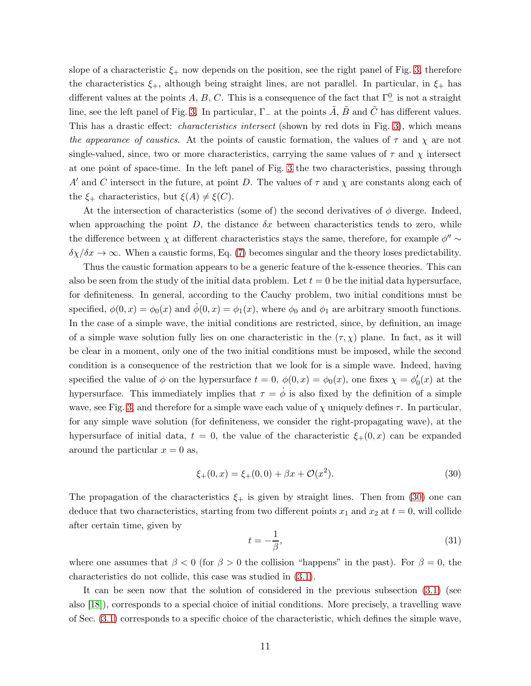slope of a characteristic  $\xi_{+}$  now depends on the position, see the right panel of Fig. [3,](#page-9-1) therefore the characteristics  $\xi_{+}$ , although being straight lines, are not parallel. In particular, in  $\xi_{+}$  has different values at the points A, B, C. This is a consequence of the fact that  $\Gamma^0_{-}$  is not a straight line, see the left panel of Fig. [3.](#page-9-1) In particular,  $\Gamma_{-}$  at the points  $\tilde{A}$ ,  $\tilde{B}$  and  $\tilde{C}$  has different values. This has a drastic effect: *characteristics intersect* (shown by red dots in Fig. [3\)](#page-9-1), which means the appearance of caustics. At the points of caustic formation, the values of  $\tau$  and  $\chi$  are not single-valued, since, two or more characteristics, carrying the same values of  $\tau$  and  $\chi$  intersect at one point of space-time. In the left panel of Fig. [3](#page-9-1) the two characteristics, passing through A' and C intersect in the future, at point D. The values of  $\tau$  and  $\chi$  are constants along each of the  $\xi_{+}$  characteristics, but  $\xi(A) \neq \xi(C)$ .

At the intersection of characteristics (some of) the second derivatives of  $\phi$  diverge. Indeed, when approaching the point  $D$ , the distance  $\delta x$  between characteristics tends to zero, while the difference between  $\chi$  at different characteristics stays the same, therefore, for example  $\phi'' \sim$  $\delta \chi / \delta x \to \infty$ . When a caustic forms, Eq. [\(7\)](#page-2-3) becomes singular and the theory loses predictability.

Thus the caustic formation appears to be a generic feature of the k-essence theories. This can also be seen from the study of the initial data problem. Let  $t = 0$  be the initial data hypersurface, for definiteness. In general, according to the Cauchy problem, two initial conditions must be specified,  $\phi(0, x) = \phi_0(x)$  and  $\dot{\phi}(0, x) = \phi_1(x)$ , where  $\phi_0$  and  $\phi_1$  are arbitrary smooth functions. In the case of a simple wave, the initial conditions are restricted, since, by definition, an image of a simple wave solution fully lies on one characteristic in the  $(\tau, \chi)$  plane. In fact, as it will be clear in a moment, only one of the two initial conditions must be imposed, while the second condition is a consequence of the restriction that we look for is a simple wave. Indeed, having specified the value of  $\phi$  on the hypersurface  $t = 0$ ,  $\phi(0, x) = \phi_0(x)$ , one fixes  $\chi = \phi'_0(x)$  at the hypersurface. This immediately implies that  $\tau = \dot{\phi}$  is also fixed by the definition of a simple wave, see Fig. [3,](#page-9-1) and therefore for a simple wave each value of  $\chi$  uniquely defines  $\tau$ . In particular, for any simple wave solution (for definiteness, we consider the right-propagating wave), at the hypersurface of initial data,  $t = 0$ , the value of the characteristic  $\xi_{+}(0, x)$  can be expanded around the particular  $x = 0$  as,

<span id="page-10-0"></span>
$$
\xi_{+}(0,x) = \xi_{+}(0,0) + \beta x + \mathcal{O}(x^2). \tag{30}
$$

The propagation of the characteristics  $\xi_{+}$  is given by straight lines. Then from [\(30\)](#page-10-0) one can deduce that two characteristics, starting from two different points  $x_1$  and  $x_2$  at  $t = 0$ , will collide after certain time, given by

$$
t = -\frac{1}{\beta},\tag{31}
$$

where one assumes that  $\beta < 0$  (for  $\beta > 0$  the collision "happens" in the past). For  $\beta = 0$ , the characteristics do not collide, this case was studied in [\(3.1\)](#page-7-1).

It can be seen now that the solution of considered in the previous subsection [\(3.1\)](#page-7-1) (see also [\[18\]](#page-16-1)), corresponds to a special choice of initial conditions. More precisely, a travelling wave of Sec. [\(3.1\)](#page-7-1) corresponds to a specific choice of the characteristic, which defines the simple wave,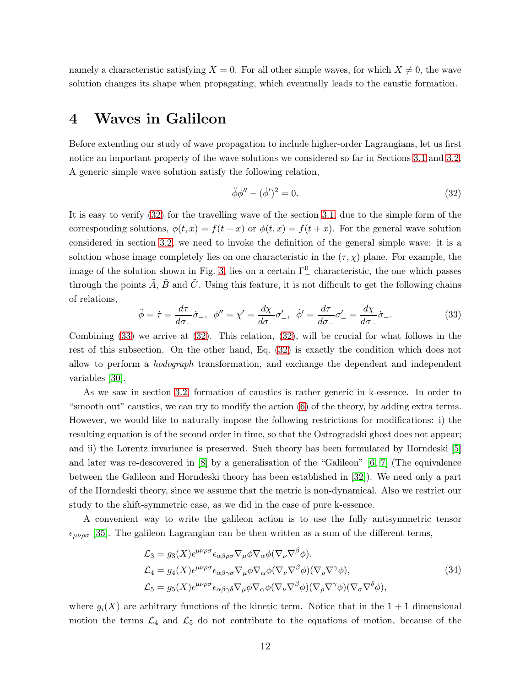namely a characteristic satisfying  $X = 0$ . For all other simple waves, for which  $X \neq 0$ , the wave solution changes its shape when propagating, which eventually leads to the caustic formation.

## 4 Waves in Galileon

Before extending our study of wave propagation to include higher-order Lagrangians, let us first notice an important property of the wave solutions we considered so far in Sections [3.1](#page-7-1) and [3.2.](#page-9-0) A generic simple wave solution satisfy the following relation,

<span id="page-11-0"></span>
$$
\ddot{\phi}\phi'' - (\dot{\phi}')^2 = 0. \tag{32}
$$

It is easy to verify [\(32\)](#page-11-0) for the travelling wave of the section [3.1,](#page-7-1) due to the simple form of the corresponding solutions,  $\phi(t, x) = f(t - x)$  or  $\phi(t, x) = f(t + x)$ . For the general wave solution considered in section [3.2,](#page-9-0) we need to invoke the definition of the general simple wave: it is a solution whose image completely lies on one characteristic in the  $(\tau, \chi)$  plane. For example, the image of the solution shown in Fig. [3,](#page-9-1) lies on a certain  $\Gamma^0_-$  characteristic, the one which passes through the points  $\tilde{A}$ ,  $\tilde{B}$  and  $\tilde{C}$ . Using this feature, it is not difficult to get the following chains of relations,

<span id="page-11-1"></span>
$$
\ddot{\phi} = \dot{\tau} = \frac{d\tau}{d\sigma_{-}}\dot{\sigma}_{-}, \quad \phi'' = \chi' = \frac{d\chi}{d\sigma_{-}}\sigma'_{-}, \quad \dot{\phi}' = \frac{d\tau}{d\sigma_{-}}\sigma'_{-} = \frac{d\chi}{d\sigma_{-}}\dot{\sigma}_{-}.
$$
\n(33)

Combining  $(33)$  we arrive at  $(32)$ . This relation,  $(32)$ , will be crucial for what follows in the rest of this subsection. On the other hand, Eq. [\(32\)](#page-11-0) is exactly the condition which does not allow to perform a hodograph transformation, and exchange the dependent and independent variables [\[30\]](#page-16-13).

As we saw in section [3.2,](#page-9-0) formation of caustics is rather generic in k-essence. In order to "smooth out" caustics, we can try to modify the action [\(6\)](#page-2-2) of the theory, by adding extra terms. However, we would like to naturally impose the following restrictions for modifications: i) the resulting equation is of the second order in time, so that the Ostrogradski ghost does not appear; and ii) the Lorentz invariance is preserved. Such theory has been formulated by Horndeski [\[5\]](#page-15-4) and later was re-descovered in [\[8\]](#page-15-7) by a generalisation of the "Galileon" [\[6,](#page-15-5) [7\]](#page-15-6) (The equivalence between the Galileon and Horndeski theory has been established in [\[32\]](#page-16-17)). We need only a part of the Horndeski theory, since we assume that the metric is non-dynamical. Also we restrict our study to the shift-symmetric case, as we did in the case of pure k-essence.

A convenient way to write the galileon action is to use the fully antisymmetric tensor  $\epsilon_{\mu\nu\rho\sigma}$  [\[35\]](#page-16-18). The galileon Lagrangian can be then written as a sum of the different terms,

$$
\mathcal{L}_3 = g_3(X)\epsilon^{\mu\nu\rho\sigma}\epsilon_{\alpha\beta\rho\sigma}\nabla_{\mu}\phi\nabla_{\alpha}\phi(\nabla_{\nu}\nabla^{\beta}\phi),
$$
  
\n
$$
\mathcal{L}_4 = g_4(X)\epsilon^{\mu\nu\rho\sigma}\epsilon_{\alpha\beta\gamma\sigma}\nabla_{\mu}\phi\nabla_{\alpha}\phi(\nabla_{\nu}\nabla^{\beta}\phi)(\nabla_{\rho}\nabla^{\gamma}\phi),
$$
  
\n
$$
\mathcal{L}_5 = g_5(X)\epsilon^{\mu\nu\rho\sigma}\epsilon_{\alpha\beta\gamma\delta}\nabla_{\mu}\phi\nabla_{\alpha}\phi(\nabla_{\nu}\nabla^{\beta}\phi)(\nabla_{\rho}\nabla^{\gamma}\phi)(\nabla_{\sigma}\nabla^{\delta}\phi),
$$
\n(34)

<span id="page-11-2"></span>where  $q_i(X)$  are arbitrary functions of the kinetic term. Notice that in the  $1+1$  dimensional motion the terms  $\mathcal{L}_4$  and  $\mathcal{L}_5$  do not contribute to the equations of motion, because of the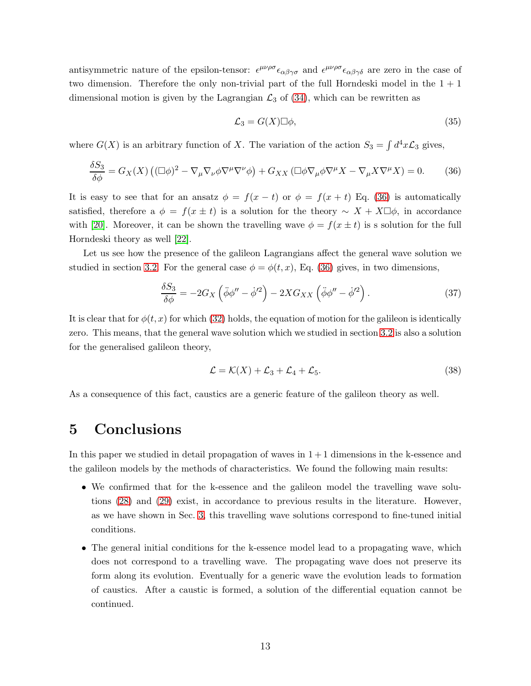antisymmetric nature of the epsilon-tensor:  $\epsilon^{\mu\nu\rho\sigma} \epsilon_{\alpha\beta\gamma\sigma}$  and  $\epsilon^{\mu\nu\rho\sigma} \epsilon_{\alpha\beta\gamma\delta}$  are zero in the case of two dimension. Therefore the only non-trivial part of the full Horndeski model in the  $1 + 1$ dimensional motion is given by the Lagrangian  $\mathcal{L}_3$  of [\(34\)](#page-11-2), which can be rewritten as

$$
\mathcal{L}_3 = G(X) \Box \phi,\tag{35}
$$

where  $G(X)$  is an arbitrary function of X. The variation of the action  $S_3 = \int d^4x \mathcal{L}_3$  gives,

<span id="page-12-0"></span>
$$
\frac{\delta S_3}{\delta \phi} = G_X(X) \left( (\Box \phi)^2 - \nabla_\mu \nabla_\nu \phi \nabla^\mu \nabla^\nu \phi \right) + G_{XX} \left( \Box \phi \nabla_\mu \phi \nabla^\mu X - \nabla_\mu X \nabla^\mu X \right) = 0. \tag{36}
$$

It is easy to see that for an ansatz  $\phi = f(x - t)$  or  $\phi = f(x + t)$  Eq. [\(36\)](#page-12-0) is automatically satisfied, therefore a  $\phi = f(x \pm t)$  is a solution for the theory ~  $X + X\square \phi$ , in accordance with [\[20\]](#page-16-3). Moreover, it can be shown the travelling wave  $\phi = f(x \pm t)$  is s solution for the full Horndeski theory as well [\[22\]](#page-16-5).

Let us see how the presence of the galileon Lagrangians affect the general wave solution we studied in section [3.2.](#page-9-0) For the general case  $\phi = \phi(t, x)$ , Eq. [\(36\)](#page-12-0) gives, in two dimensions,

$$
\frac{\delta S_3}{\delta \phi} = -2G_X \left( \ddot{\phi} \phi'' - \dot{\phi}'^2 \right) - 2XG_{XX} \left( \ddot{\phi} \phi'' - \dot{\phi}'^2 \right). \tag{37}
$$

It is clear that for  $\phi(t, x)$  for which [\(32\)](#page-11-0) holds, the equation of motion for the galileon is identically zero. This means, that the general wave solution which we studied in section [3.2](#page-9-0) is also a solution for the generalised galileon theory,

<span id="page-12-1"></span>
$$
\mathcal{L} = \mathcal{K}(X) + \mathcal{L}_3 + \mathcal{L}_4 + \mathcal{L}_5. \tag{38}
$$

As a consequence of this fact, caustics are a generic feature of the galileon theory as well.

## 5 Conclusions

In this paper we studied in detail propagation of waves in  $1+1$  dimensions in the k-essence and the galileon models by the methods of characteristics. We found the following main results:

- We confirmed that for the k-essence and the galileon model the travelling wave solutions [\(28\)](#page-7-0) and [\(29\)](#page-7-2) exist, in accordance to previous results in the literature. However, as we have shown in Sec. [3,](#page-6-2) this travelling wave solutions correspond to fine-tuned initial conditions.
- The general initial conditions for the k-essence model lead to a propagating wave, which does not correspond to a travelling wave. The propagating wave does not preserve its form along its evolution. Eventually for a generic wave the evolution leads to formation of caustics. After a caustic is formed, a solution of the differential equation cannot be continued.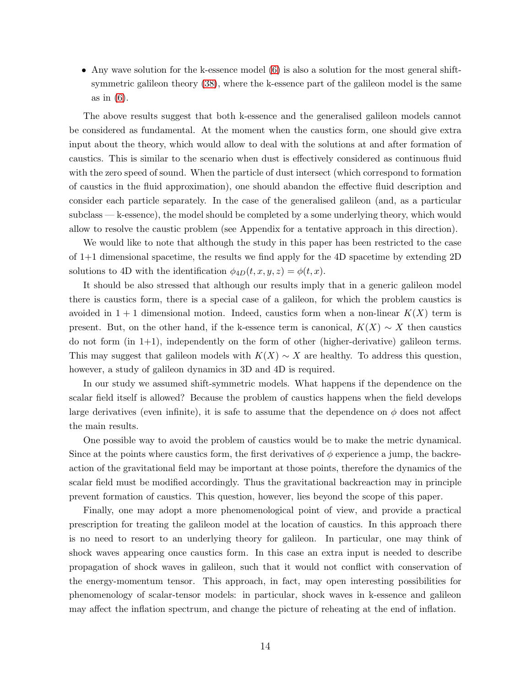• Any wave solution for the k-essence model [\(6\)](#page-2-2) is also a solution for the most general shiftsymmetric galileon theory [\(38\)](#page-12-1), where the k-essence part of the galileon model is the same as in [\(6\)](#page-2-2).

The above results suggest that both k-essence and the generalised galileon models cannot be considered as fundamental. At the moment when the caustics form, one should give extra input about the theory, which would allow to deal with the solutions at and after formation of caustics. This is similar to the scenario when dust is effectively considered as continuous fluid with the zero speed of sound. When the particle of dust intersect (which correspond to formation of caustics in the fluid approximation), one should abandon the effective fluid description and consider each particle separately. In the case of the generalised galileon (and, as a particular subclass — k-essence), the model should be completed by a some underlying theory, which would allow to resolve the caustic problem (see Appendix for a tentative approach in this direction).

We would like to note that although the study in this paper has been restricted to the case of 1+1 dimensional spacetime, the results we find apply for the 4D spacetime by extending 2D solutions to 4D with the identification  $\phi_{4D}(t, x, y, z) = \phi(t, x)$ .

It should be also stressed that although our results imply that in a generic galileon model there is caustics form, there is a special case of a galileon, for which the problem caustics is avoided in  $1 + 1$  dimensional motion. Indeed, caustics form when a non-linear  $K(X)$  term is present. But, on the other hand, if the k-essence term is canonical,  $K(X) \sim X$  then caustics do not form (in 1+1), independently on the form of other (higher-derivative) galileon terms. This may suggest that galileon models with  $K(X) \sim X$  are healthy. To address this question, however, a study of galileon dynamics in 3D and 4D is required.

In our study we assumed shift-symmetric models. What happens if the dependence on the scalar field itself is allowed? Because the problem of caustics happens when the field develops large derivatives (even infinite), it is safe to assume that the dependence on  $\phi$  does not affect the main results.

One possible way to avoid the problem of caustics would be to make the metric dynamical. Since at the points where caustics form, the first derivatives of  $\phi$  experience a jump, the backreaction of the gravitational field may be important at those points, therefore the dynamics of the scalar field must be modified accordingly. Thus the gravitational backreaction may in principle prevent formation of caustics. This question, however, lies beyond the scope of this paper.

Finally, one may adopt a more phenomenological point of view, and provide a practical prescription for treating the galileon model at the location of caustics. In this approach there is no need to resort to an underlying theory for galileon. In particular, one may think of shock waves appearing once caustics form. In this case an extra input is needed to describe propagation of shock waves in galileon, such that it would not conflict with conservation of the energy-momentum tensor. This approach, in fact, may open interesting possibilities for phenomenology of scalar-tensor models: in particular, shock waves in k-essence and galileon may affect the inflation spectrum, and change the picture of reheating at the end of inflation.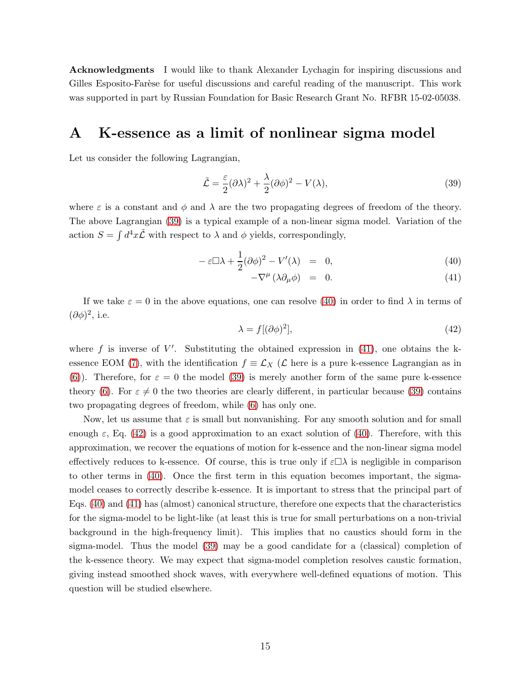Acknowledgments I would like to thank Alexander Lychagin for inspiring discussions and Gilles Esposito-Farèse for useful discussions and careful reading of the manuscript. This work was supported in part by Russian Foundation for Basic Research Grant No. RFBR 15-02-05038.

### A K-essence as a limit of nonlinear sigma model

Let us consider the following Lagrangian,

<span id="page-14-0"></span>
$$
\tilde{\mathcal{L}} = \frac{\varepsilon}{2} (\partial \lambda)^2 + \frac{\lambda}{2} (\partial \phi)^2 - V(\lambda),\tag{39}
$$

where  $\varepsilon$  is a constant and  $\phi$  and  $\lambda$  are the two propagating degrees of freedom of the theory. The above Lagrangian [\(39\)](#page-14-0) is a typical example of a non-linear sigma model. Variation of the action  $S = \int d^4x \tilde{\mathcal{L}}$  with respect to  $\lambda$  and  $\phi$  yields, correspondingly,

<span id="page-14-1"></span>
$$
-\varepsilon \Box \lambda + \frac{1}{2} (\partial \phi)^2 - V'(\lambda) = 0, \qquad (40)
$$

$$
-\nabla^{\mu}(\lambda \partial_{\mu}\phi) = 0. \qquad (41)
$$

If we take  $\varepsilon = 0$  in the above equations, one can resolve [\(40\)](#page-14-1) in order to find  $\lambda$  in terms of  $(\partial \phi)^2$ , i.e.

<span id="page-14-2"></span>
$$
\lambda = f[(\partial \phi)^2],\tag{42}
$$

where f is inverse of  $V'$ . Substituting the obtained expression in [\(41\)](#page-14-1), one obtains the k-essence EOM [\(7\)](#page-2-3), with the identification  $f \equiv \mathcal{L}_X$  ( $\mathcal{L}$  here is a pure k-essence Lagrangian as in [\(6\)](#page-2-2)). Therefore, for  $\varepsilon = 0$  the model [\(39\)](#page-14-0) is merely another form of the same pure k-essence theory [\(6\)](#page-2-2). For  $\varepsilon \neq 0$  the two theories are clearly different, in particular because [\(39\)](#page-14-0) contains two propagating degrees of freedom, while [\(6\)](#page-2-2) has only one.

Now, let us assume that  $\varepsilon$  is small but nonvanishing. For any smooth solution and for small enough  $\varepsilon$ , Eq. [\(42\)](#page-14-2) is a good approximation to an exact solution of [\(40\)](#page-14-1). Therefore, with this approximation, we recover the equations of motion for k-essence and the non-linear sigma model effectively reduces to k-essence. Of course, this is true only if  $\varepsilon \Box \lambda$  is negligible in comparison to other terms in [\(40\)](#page-14-1). Once the first term in this equation becomes important, the sigmamodel ceases to correctly describe k-essence. It is important to stress that the principal part of Eqs. [\(40\)](#page-14-1) and [\(41\)](#page-14-1) has (almost) canonical structure, therefore one expects that the characteristics for the sigma-model to be light-like (at least this is true for small perturbations on a non-trivial background in the high-frequency limit). This implies that no caustics should form in the sigma-model. Thus the model [\(39\)](#page-14-0) may be a good candidate for a (classical) completion of the k-essence theory. We may expect that sigma-model completion resolves caustic formation, giving instead smoothed shock waves, with everywhere well-defined equations of motion. This question will be studied elsewhere.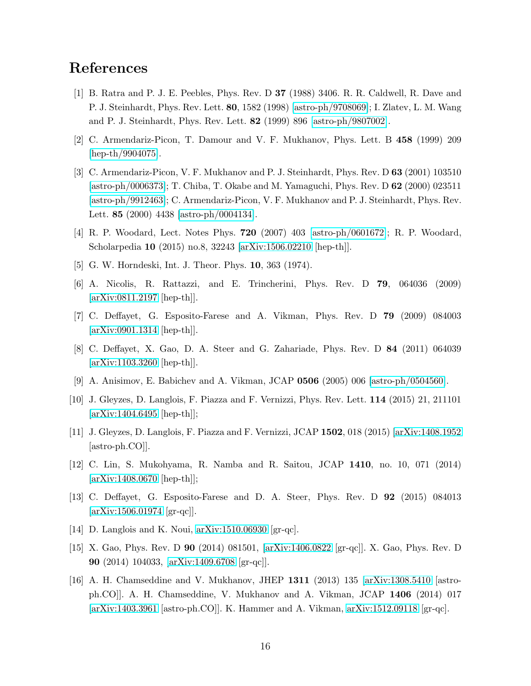## <span id="page-15-0"></span>References

- [1] B. Ratra and P. J. E. Peebles, Phys. Rev. D 37 (1988) 3406. R. R. Caldwell, R. Dave and P. J. Steinhardt, Phys. Rev. Lett. 80, 1582 (1998) [\[astro-ph/9708069\]](http://arxiv.org/abs/astro-ph/9708069); I. Zlatev, L. M. Wang and P. J. Steinhardt, Phys. Rev. Lett. 82 (1999) 896 [\[astro-ph/9807002\]](http://arxiv.org/abs/astro-ph/9807002).
- <span id="page-15-2"></span><span id="page-15-1"></span>[2] C. Armendariz-Picon, T. Damour and V. F. Mukhanov, Phys. Lett. B 458 (1999) 209 [\[hep-th/9904075\]](http://arxiv.org/abs/hep-th/9904075).
- [3] C. Armendariz-Picon, V. F. Mukhanov and P. J. Steinhardt, Phys. Rev. D 63 (2001) 103510 [\[astro-ph/0006373\]](http://arxiv.org/abs/astro-ph/0006373); T. Chiba, T. Okabe and M. Yamaguchi, Phys. Rev. D 62 (2000) 023511 [\[astro-ph/9912463\]](http://arxiv.org/abs/astro-ph/9912463); C. Armendariz-Picon, V. F. Mukhanov and P. J. Steinhardt, Phys. Rev. Lett. 85 (2000) 4438 [\[astro-ph/0004134\]](http://arxiv.org/abs/astro-ph/0004134).
- <span id="page-15-4"></span><span id="page-15-3"></span>[4] R. P. Woodard, Lect. Notes Phys. 720 (2007) 403 [\[astro-ph/0601672\]](http://arxiv.org/abs/astro-ph/0601672); R. P. Woodard, Scholarpedia 10 (2015) no.8, 32243 [\[arXiv:1506.02210](http://arxiv.org/abs/1506.02210) [hep-th]].
- <span id="page-15-5"></span>[5] G. W. Horndeski, Int. J. Theor. Phys. 10, 363 (1974).
- <span id="page-15-6"></span>[6] A. Nicolis, R. Rattazzi, and E. Trincherini, Phys. Rev. D 79, 064036 (2009) [\[arXiv:0811.2197](http://arxiv.org/abs/0811.2197) [hep-th]].
- <span id="page-15-7"></span>[7] C. Deffayet, G. Esposito-Farese and A. Vikman, Phys. Rev. D 79 (2009) 084003 [\[arXiv:0901.1314](http://arxiv.org/abs/0901.1314) [hep-th]].
- <span id="page-15-8"></span>[8] C. Deffayet, X. Gao, D. A. Steer and G. Zahariade, Phys. Rev. D 84 (2011) 064039 [\[arXiv:1103.3260](http://arxiv.org/abs/1103.3260) [hep-th]].
- <span id="page-15-9"></span>[9] A. Anisimov, E. Babichev and A. Vikman, JCAP 0506 (2005) 006 [\[astro-ph/0504560\]](http://arxiv.org/abs/astro-ph/0504560).
- <span id="page-15-10"></span>[10] J. Gleyzes, D. Langlois, F. Piazza and F. Vernizzi, Phys. Rev. Lett. 114 (2015) 21, 211101 [\[arXiv:1404.6495](http://arxiv.org/abs/1404.6495) [hep-th]];
- <span id="page-15-11"></span>[11] J. Gleyzes, D. Langlois, F. Piazza and F. Vernizzi, JCAP 1502, 018 (2015) [\[arXiv:1408.1952](http://arxiv.org/abs/1408.1952) [astro-ph.CO]].
- <span id="page-15-12"></span>[12] C. Lin, S. Mukohyama, R. Namba and R. Saitou, JCAP 1410, no. 10, 071 (2014) [\[arXiv:1408.0670](http://arxiv.org/abs/1408.0670) [hep-th]];
- <span id="page-15-13"></span>[13] C. Deffayet, G. Esposito-Farese and D. A. Steer, Phys. Rev. D 92 (2015) 084013  $[\text{arXiv:1506.01974} \; [\text{gr-qc}]].$
- <span id="page-15-14"></span>[14] D. Langlois and K. Noui, [arXiv:1510.06930](http://arxiv.org/abs/1510.06930) [gr-qc].
- <span id="page-15-15"></span>[15] X. Gao, Phys. Rev. D 90 (2014) 081501, [\[arXiv:1406.0822](http://arxiv.org/abs/1406.0822) [gr-qc]]. X. Gao, Phys. Rev. D 90 (2014) 104033, [\[arXiv:1409.6708](http://arxiv.org/abs/1409.6708) [gr-qc]].
- [16] A. H. Chamseddine and V. Mukhanov, JHEP 1311 (2013) 135 [\[arXiv:1308.5410](http://arxiv.org/abs/1308.5410) [astroph.CO]]. A. H. Chamseddine, V. Mukhanov and A. Vikman, JCAP 1406 (2014) 017 [\[arXiv:1403.3961](http://arxiv.org/abs/1403.3961) [astro-ph.CO]]. K. Hammer and A. Vikman, [arXiv:1512.09118](http://arxiv.org/abs/1512.09118) [gr-qc].